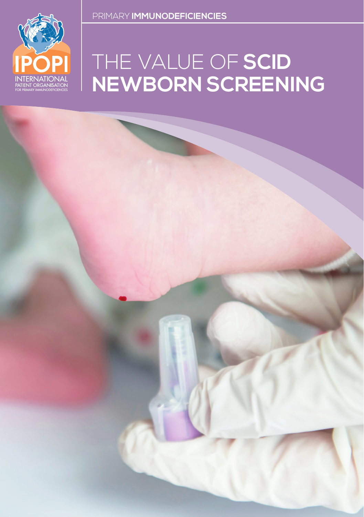# THE VALUE OF **SCID NEWBORN SCREENING**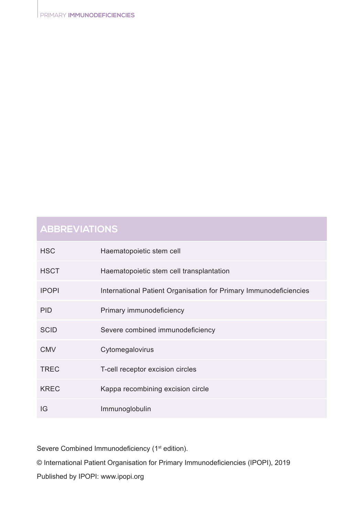## **ABBREVIATIONS**

| <b>HSC</b>   | Haematopoietic stem cell                                          |
|--------------|-------------------------------------------------------------------|
| <b>HSCT</b>  | Haematopoietic stem cell transplantation                          |
| <b>IPOPI</b> | International Patient Organisation for Primary Immunodeficiencies |
| <b>PID</b>   | Primary immunodeficiency                                          |
| <b>SCID</b>  | Severe combined immunodeficiency                                  |
| <b>CMV</b>   | Cytomegalovirus                                                   |
| <b>TREC</b>  | T-cell receptor excision circles                                  |
| <b>KREC</b>  | Kappa recombining excision circle                                 |
| IG           | Immunoglobulin                                                    |

Severe Combined Immunodeficiency (1<sup>st</sup> edition).

© International Patient Organisation for Primary Immunodeficiencies (IPOPI), 2019

Published by IPOPI: www.ipopi.org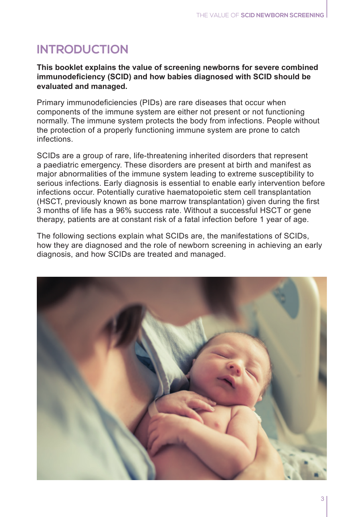# **INTRODUCTION**

**This booklet explains the value of screening newborns for severe combined immunodeficiency (SCID) and how babies diagnosed with SCID should be evaluated and managed.**

Primary immunodeficiencies (PIDs) are rare diseases that occur when components of the immune system are either not present or not functioning normally. The immune system protects the body from infections. People without the protection of a properly functioning immune system are prone to catch infections.

SCIDs are a group of rare, life-threatening inherited disorders that represent a paediatric emergency. These disorders are present at birth and manifest as major abnormalities of the immune system leading to extreme susceptibility to serious infections. Early diagnosis is essential to enable early intervention before infections occur. Potentially curative haematopoietic stem cell transplantation (HSCT, previously known as bone marrow transplantation) given during the first 3 months of life has a 96% success rate. Without a successful HSCT or gene therapy, patients are at constant risk of a fatal infection before 1 year of age.

The following sections explain what SCIDs are, the manifestations of SCIDs, how they are diagnosed and the role of newborn screening in achieving an early diagnosis, and how SCIDs are treated and managed.

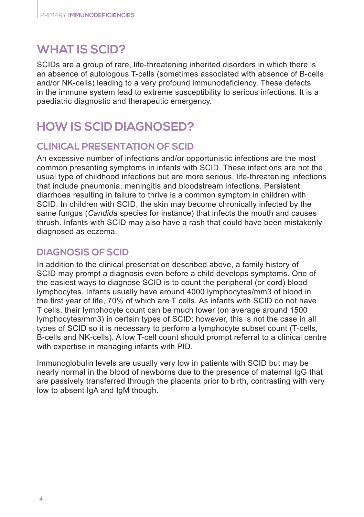## **WHAT IS SCID?**

SCIDs are a group of rare, life-threatening inherited disorders in which there is an absence of autologous T-cells (sometimes associated with absence of B-cells and/or NK-cells) leading to a very profound immunodeficiency. These defects in the immune system lead to extreme susceptibility to serious infections. It is a paediatric diagnostic and therapeutic emergency.

## **HOW IS SCID DIAGNOSED?**

#### **CLINICAL PRESENTATION OF SCID**

An excessive number of infections and/or opportunistic infections are the most common presenting symptoms in infants with SCID. These infections are not the usual type of childhood infections but are more serious, life-threatening infections that include pneumonia, meningitis and bloodstream infections. Persistent diarrhoea resulting in failure to thrive is a common symptom in children with SCID. In children with SCID, the skin may become chronically infected by the same fungus (*Candida* species for instance) that infects the mouth and causes thrush. Infants with SCID may also have a rash that could have been mistakenly diagnosed as eczema.

#### **DIAGNOSIS OF SCID**

In addition to the clinical presentation described above, a family history of SCID may prompt a diagnosis even before a child develops symptoms. One of the easiest ways to diagnose SCID is to count the peripheral (or cord) blood lymphocytes. Infants usually have around 4000 lymphocytes/mm3 of blood in the first year of life, 70% of which are T cells. As infants with SCID do not have T cells, their lymphocyte count can be much lower (on average around 1500 lymphocytes/mm3) in certain types of SCID; however, this is not the case in all types of SCID so it is necessary to perform a lymphocyte subset count (T-cells, B-cells and NK-cells). A low T-cell count should prompt referral to a clinical centre with expertise in managing infants with PID.

Immunoglobulin levels are usually very low in patients with SCID but may be nearly normal in the blood of newborns due to the presence of maternal IgG that are passively transferred through the placenta prior to birth, contrasting with very low to absent IgA and IgM though.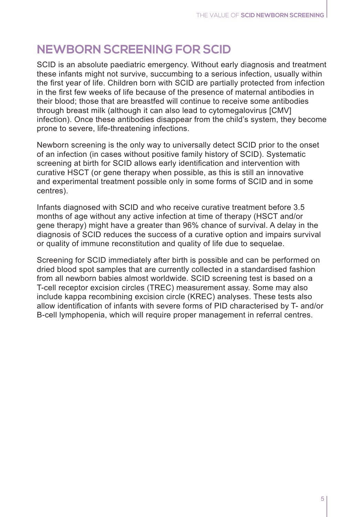## **NEWBORN SCREENING FOR SCID**

SCID is an absolute paediatric emergency. Without early diagnosis and treatment these infants might not survive, succumbing to a serious infection, usually within the first year of life. Children born with SCID are partially protected from infection in the first few weeks of life because of the presence of maternal antibodies in their blood; those that are breastfed will continue to receive some antibodies through breast milk (although it can also lead to cytomegalovirus [CMV] infection). Once these antibodies disappear from the child's system, they become prone to severe, life-threatening infections.

Newborn screening is the only way to universally detect SCID prior to the onset of an infection (in cases without positive family history of SCID). Systematic screening at birth for SCID allows early identification and intervention with curative HSCT (or gene therapy when possible, as this is still an innovative and experimental treatment possible only in some forms of SCID and in some centres).

Infants diagnosed with SCID and who receive curative treatment before 3.5 months of age without any active infection at time of therapy (HSCT and/or gene therapy) might have a greater than 96% chance of survival. A delay in the diagnosis of SCID reduces the success of a curative option and impairs survival or quality of immune reconstitution and quality of life due to sequelae.

Screening for SCID immediately after birth is possible and can be performed on dried blood spot samples that are currently collected in a standardised fashion from all newborn babies almost worldwide. SCID screening test is based on a T-cell receptor excision circles (TREC) measurement assay. Some may also include kappa recombining excision circle (KREC) analyses. These tests also allow identification of infants with severe forms of PID characterised by T- and/or B-cell lymphopenia, which will require proper management in referral centres.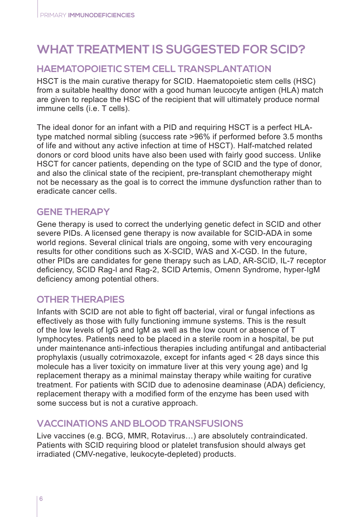## **WHAT TREATMENT IS SUGGESTED FOR SCID?**

#### **HAEMATOPOIETIC STEM CELL TRANSPLANTATION**

HSCT is the main curative therapy for SCID. Haematopoietic stem cells (HSC) from a suitable healthy donor with a good human leucocyte antigen (HLA) match are given to replace the HSC of the recipient that will ultimately produce normal immune cells (i.e. T cells).

The ideal donor for an infant with a PID and requiring HSCT is a perfect HLAtype matched normal sibling (success rate >96% if performed before 3.5 months of life and without any active infection at time of HSCT). Half-matched related donors or cord blood units have also been used with fairly good success. Unlike HSCT for cancer patients, depending on the type of SCID and the type of donor, and also the clinical state of the recipient, pre-transplant chemotherapy might not be necessary as the goal is to correct the immune dysfunction rather than to eradicate cancer cells.

#### **GENE THERAPY**

Gene therapy is used to correct the underlying genetic defect in SCID and other severe PIDs. A licensed gene therapy is now available for SCID-ADA in some world regions. Several clinical trials are ongoing, some with very encouraging results for other conditions such as X-SCID, WAS and X-CGD. In the future, other PIDs are candidates for gene therapy such as LAD, AR-SCID, IL-7 receptor deficiency, SCID Rag-l and Rag-2, SCID Artemis, Omenn Syndrome, hyper-IgM deficiency among potential others.

#### **OTHER THERAPIES**

Infants with SCID are not able to fight off bacterial, viral or fungal infections as effectively as those with fully functioning immune systems. This is the result of the low levels of IgG and IgM as well as the low count or absence of T lymphocytes. Patients need to be placed in a sterile room in a hospital, be put under maintenance anti-infectious therapies including antifungal and antibacterial prophylaxis (usually cotrimoxazole, except for infants aged < 28 days since this molecule has a liver toxicity on immature liver at this very young age) and Ig replacement therapy as a minimal mainstay therapy while waiting for curative treatment. For patients with SCID due to adenosine deaminase (ADA) deficiency, replacement therapy with a modified form of the enzyme has been used with some success but is not a curative approach.

#### **VACCINATIONS AND BLOOD TRANSFUSIONS**

Live vaccines (e.g. BCG, MMR, Rotavirus…) are absolutely contraindicated. Patients with SCID requiring blood or platelet transfusion should always get irradiated (CMV-negative, leukocyte-depleted) products.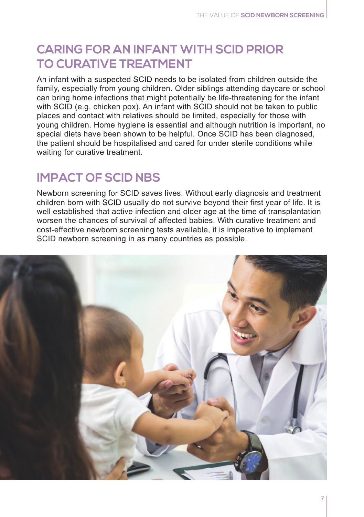# **CARING FOR AN INFANT WITH SCID PRIOR TO CURATIVE TREATMENT**

An infant with a suspected SCID needs to be isolated from children outside the family, especially from young children. Older siblings attending daycare or school can bring home infections that might potentially be life-threatening for the infant with SCID (e.g. chicken pox). An infant with SCID should not be taken to public places and contact with relatives should be limited, especially for those with young children. Home hygiene is essential and although nutrition is important, no special diets have been shown to be helpful. Once SCID has been diagnosed, the patient should be hospitalised and cared for under sterile conditions while waiting for curative treatment.

## **IMPACT OF SCID NBS**

Newborn screening for SCID saves lives. Without early diagnosis and treatment children born with SCID usually do not survive beyond their first year of life. It is well established that active infection and older age at the time of transplantation worsen the chances of survival of affected babies. With curative treatment and cost-effective newborn screening tests available, it is imperative to implement SCID newborn screening in as many countries as possible.